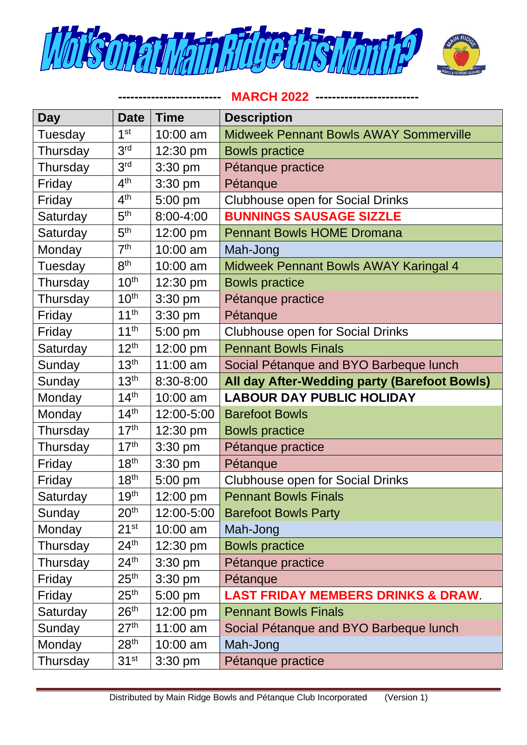



**------------------------- MARCH 2022 -------------------------**

| <b>Day</b> | <b>Date</b>      | <b>Time</b>   | <b>Description</b>                            |
|------------|------------------|---------------|-----------------------------------------------|
| Tuesday    | 1 <sup>st</sup>  | 10:00 am      | <b>Midweek Pennant Bowls AWAY Sommerville</b> |
| Thursday   | 3 <sup>rd</sup>  | 12:30 pm      | <b>Bowls practice</b>                         |
| Thursday   | 3 <sup>rd</sup>  | 3:30 pm       | Pétanque practice                             |
| Friday     | 4 <sup>th</sup>  | $3:30$ pm     | Pétanque                                      |
| Friday     | 4 <sup>th</sup>  | 5:00 pm       | <b>Clubhouse open for Social Drinks</b>       |
| Saturday   | 5 <sup>th</sup>  | $8:00 - 4:00$ | <b>BUNNINGS SAUSAGE SIZZLE</b>                |
| Saturday   | 5 <sup>th</sup>  | 12:00 pm      | <b>Pennant Bowls HOME Dromana</b>             |
| Monday     | 7 <sup>th</sup>  | 10:00 am      | Mah-Jong                                      |
| Tuesday    | 8 <sup>th</sup>  | 10:00 am      | Midweek Pennant Bowls AWAY Karingal 4         |
| Thursday   | 10 <sup>th</sup> | 12:30 pm      | <b>Bowls practice</b>                         |
| Thursday   | 10 <sup>th</sup> | $3:30$ pm     | Pétanque practice                             |
| Friday     | 11 <sup>th</sup> | 3:30 pm       | Pétanque                                      |
| Friday     | 11 <sup>th</sup> | 5:00 pm       | <b>Clubhouse open for Social Drinks</b>       |
| Saturday   | 12 <sup>th</sup> | 12:00 pm      | <b>Pennant Bowls Finals</b>                   |
| Sunday     | 13 <sup>th</sup> | $11:00$ am    | Social Pétanque and BYO Barbeque lunch        |
| Sunday     | 13 <sup>th</sup> | 8:30-8:00     | All day After-Wedding party (Barefoot Bowls)  |
| Monday     | 14 <sup>th</sup> | 10:00 am      | <b>LABOUR DAY PUBLIC HOLIDAY</b>              |
| Monday     | 14 <sup>th</sup> | 12:00-5:00    | <b>Barefoot Bowls</b>                         |
| Thursday   | 17 <sup>th</sup> | 12:30 pm      | <b>Bowls practice</b>                         |
| Thursday   | 17 <sup>th</sup> | 3:30 pm       | Pétanque practice                             |
| Friday     | 18 <sup>th</sup> | 3:30 pm       | Pétanque                                      |
| Friday     | 18 <sup>th</sup> | 5:00 pm       | <b>Clubhouse open for Social Drinks</b>       |
| Saturday   | 19 <sup>th</sup> | 12:00 pm      | <b>Pennant Bowls Finals</b>                   |
| Sunday     | 20 <sup>th</sup> | 12:00-5:00    | <b>Barefoot Bowls Party</b>                   |
| Monday     | $21^{st}$        | 10:00 am      | Mah-Jong                                      |
| Thursday   | 24 <sup>th</sup> | 12:30 pm      | <b>Bowls practice</b>                         |
| Thursday   | 24 <sup>th</sup> | 3:30 pm       | Pétanque practice                             |
| Friday     | 25 <sup>th</sup> | 3:30 pm       | Pétanque                                      |
| Friday     | 25 <sup>th</sup> | 5:00 pm       | <b>LAST FRIDAY MEMBERS DRINKS &amp; DRAW.</b> |
| Saturday   | 26 <sup>th</sup> | 12:00 pm      | <b>Pennant Bowls Finals</b>                   |
| Sunday     | 27 <sup>th</sup> | 11:00 am      | Social Pétanque and BYO Barbeque lunch        |
| Monday     | 28 <sup>th</sup> | 10:00 am      | Mah-Jong                                      |
| Thursday   | 31 <sup>st</sup> | $3:30$ pm     | Pétanque practice                             |